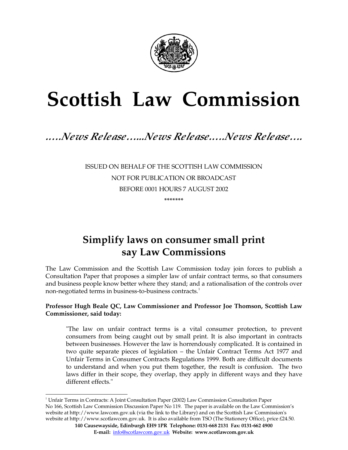

# **Scottish Law Commission**

# *.….News Release…...News Release.….News Release….*

ISSUED ON BEHALF OF THE SCOTTISH LAW COMMISSION NOT FOR PUBLICATION OR BROADCAST BEFORE 0001 HOURS 7 AUGUST 2002 **\*\*\*\*\*\*\*** 

# **Simplify laws on consumer small print say Law Commissions**

The Law Commission and the Scottish Law Commission today join forces to publish a Consultation Paper that proposes a simpler law of unfair contract terms, so that consumers and business people know better where they stand; and a rationalisation of the controls over non-negotiated terms in business-to-business contracts. 1

#### **Professor Hugh Beale QC, Law Commissioner and Professor Joe Thomson, Scottish Law Commissioner, said today:**

"The law on unfair contract terms is a vital consumer protection, to prevent consumers from being caught out by small print. It is also important in contracts between businesses. However the law is horrendously complicated. It is contained in two quite separate pieces of legislation – the Unfair Contract Terms Act 1977 and Unfair Terms in Consumer Contracts Regulations 1999. Both are difficult documents to understand and when you put them together, the result is confusion. The two laws differ in their scope, they overlap, they apply in different ways and they have different effects."

<sup>1</sup> Unfair Terms in Contracts: A Joint Consultation Paper (2002) Law Commission Consultation Paper No 166, Scottish Law Commission Discussion Paper No 119. The paper is available on the Law Commission's website at http://www.lawcom.gov.uk (via the link to the Library) and on the Scottish Law Commission's website at http://www.scotlawcom.gov.uk. It is also available from TSO (The Stationery Office), price £24.50.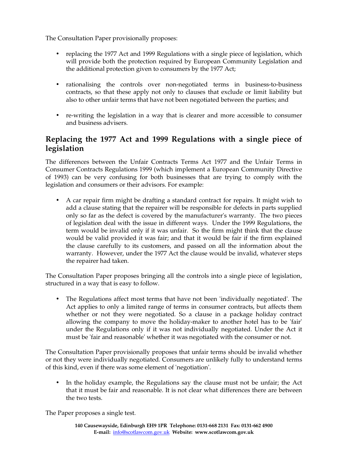The Consultation Paper provisionally proposes:

- replacing the 1977 Act and 1999 Regulations with a single piece of legislation, which will provide both the protection required by European Community Legislation and the additional protection given to consumers by the 1977 Act;
- rationalising the controls over non-negotiated terms in business-to-business contracts, so that these apply not only to clauses that exclude or limit liability but also to other unfair terms that have not been negotiated between the parties; and
- re-writing the legislation in a way that is clearer and more accessible to consumer and business advisers.

## **Replacing the 1977 Act and 1999 Regulations with a single piece of legislation**

The differences between the Unfair Contracts Terms Act 1977 and the Unfair Terms in Consumer Contracts Regulations 1999 (which implement a European Community Directive of 1993) can be very confusing for both businesses that are trying to comply with the legislation and consumers or their advisors. For example:

• A car repair firm might be drafting a standard contract for repairs. It might wish to add a clause stating that the repairer will be responsible for defects in parts supplied only so far as the defect is covered by the manufacturer's warranty. The two pieces of legislation deal with the issue in different ways. Under the 1999 Regulations, the term would be invalid only if it was unfair. So the firm might think that the clause would be valid provided it was fair; and that it would be fair if the firm explained the clause carefully to its customers, and passed on all the information about the warranty. However, under the 1977 Act the clause would be invalid, whatever steps the repairer had taken.

The Consultation Paper proposes bringing all the controls into a single piece of legislation, structured in a way that is easy to follow.

• The Regulations affect most terms that have not been 'individually negotiated'. The Act applies to only a limited range of terms in consumer contracts, but affects them whether or not they were negotiated. So a clause in a package holiday contract allowing the company to move the holiday-maker to another hotel has to be 'fair' under the Regulations only if it was not individually negotiated. Under the Act it must be 'fair and reasonable'whether it was negotiated with the consumer or not.

The Consultation Paper provisionally proposes that unfair terms should be invalid whether or not they were individually negotiated. Consumers are unlikely fully to understand terms of this kind, even if there was some element of 'negotiation'.

In the holiday example, the Regulations say the clause must not be unfair; the Act that it must be fair and reasonable. It is not clear what differences there are between the two tests.

The Paper proposes a single test.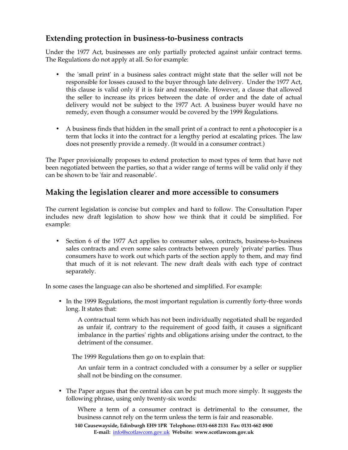### **Extending protection in business-to-business contracts**

Under the 1977 Act, businesses are only partially protected against unfair contract terms. The Regulations do not apply at all. So for example:

- the 'small print' in a business sales contract might state that the seller will not be responsible for losses caused to the buyer through late delivery. Under the 1977 Act, this clause is valid only if it is fair and reasonable. However, a clause that allowed the seller to increase its prices between the date of order and the date of actual delivery would not be subject to the 1977 Act. A business buyer would have no remedy, even though a consumer would be covered by the 1999 Regulations.
- A business finds that hidden in the small print of a contract to rent a photocopier is a term that locks it into the contract for a lengthy period at escalating prices. The law does not presently provide a remedy. (It would in a consumer contract.)

The Paper provisionally proposes to extend protection to most types of term that have not been negotiated between the parties, so that a wider range of terms will be valid only if they can be shown to be 'fair and reasonable'.

### **Making the legislation clearer and more accessible to consumers**

The current legislation is concise but complex and hard to follow. The Consultation Paper includes new draft legislation to show how we think that it could be simplified. For example:

• Section 6 of the 1977 Act applies to consumer sales, contracts, business-to-business sales contracts and even some sales contracts between purely 'private' parties. Thus consumers have to work out which parts of the section apply to them, and may find that much of it is not relevant. The new draft deals with each type of contract separately.

In some cases the language can also be shortened and simplified. For example:

• In the 1999 Regulations, the most important regulation is currently forty-three words long. It states that:

A contractual term which has not been individually negotiated shall be regarded as unfair if, contrary to the requirement of good faith, it causes a significant imbalance in the parties' rights and obligations arising under the contract, to the detriment of the consumer.

The 1999 Regulations then go on to explain that:

An unfair term in a contract concluded with a consumer by a seller or supplier shall not be binding on the consumer.

• The Paper argues that the central idea can be put much more simply. It suggests the following phrase, using only twenty-six words:

Where a term of a consumer contract is detrimental to the consumer, the business cannot rely on the term unless the term is fair and reasonable.

**140 Causewayside, Edinburgh EH9 1PR Telephone: 0131-668 2131 Fax: 0131-662 4900 E-mail:** info@scotlawcom.gov.uk **Website: www.scotlawcom.gov.uk**